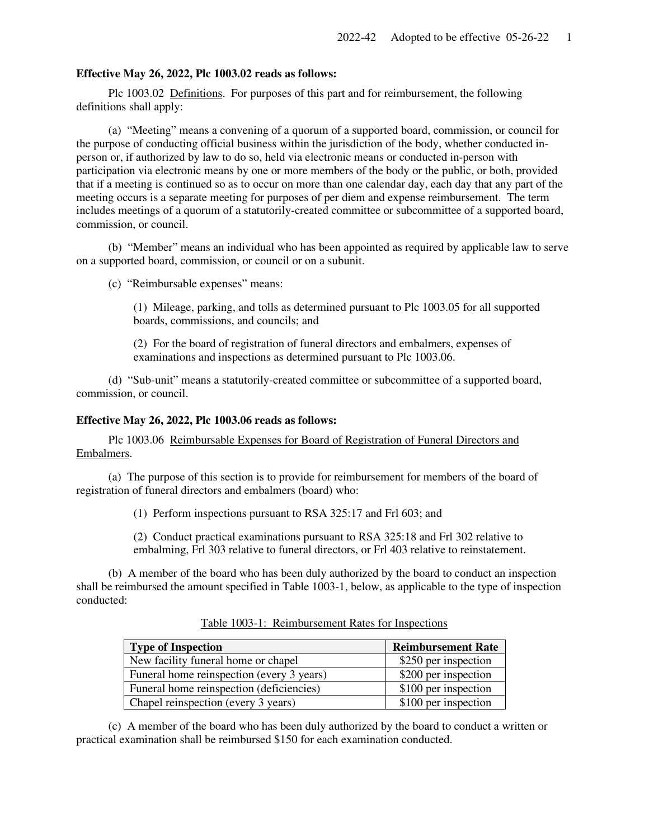## **Effective May 26, 2022, Plc 1003.02 reads as follows:**

 Plc 1003.02 Definitions. For purposes of this part and for reimbursement, the following definitions shall apply:

 (a) "Meeting" means a convening of a quorum of a supported board, commission, or council for the purpose of conducting official business within the jurisdiction of the body, whether conducted inperson or, if authorized by law to do so, held via electronic means or conducted in-person with participation via electronic means by one or more members of the body or the public, or both, provided that if a meeting is continued so as to occur on more than one calendar day, each day that any part of the meeting occurs is a separate meeting for purposes of per diem and expense reimbursement. The term includes meetings of a quorum of a statutorily-created committee or subcommittee of a supported board, commission, or council.

 (b) "Member" means an individual who has been appointed as required by applicable law to serve on a supported board, commission, or council or on a subunit.

(c) "Reimbursable expenses" means:

(1) Mileage, parking, and tolls as determined pursuant to Plc 1003.05 for all supported boards, commissions, and councils; and

(2) For the board of registration of funeral directors and embalmers, expenses of examinations and inspections as determined pursuant to Plc 1003.06.

 (d) "Sub-unit" means a statutorily-created committee or subcommittee of a supported board, commission, or council.

## **Effective May 26, 2022, Plc 1003.06 reads as follows:**

 Plc 1003.06 Reimbursable Expenses for Board of Registration of Funeral Directors and Embalmers.

 (a) The purpose of this section is to provide for reimbursement for members of the board of registration of funeral directors and embalmers (board) who:

(1) Perform inspections pursuant to RSA 325:17 and Frl 603; and

(2) Conduct practical examinations pursuant to RSA 325:18 and Frl 302 relative to embalming, Frl 303 relative to funeral directors, or Frl 403 relative to reinstatement.

 (b) A member of the board who has been duly authorized by the board to conduct an inspection shall be reimbursed the amount specified in Table 1003-1, below, as applicable to the type of inspection conducted:

| <b>Type of Inspection</b>                 | <b>Reimbursement Rate</b> |
|-------------------------------------------|---------------------------|
| New facility funeral home or chapel       | \$250 per inspection      |
| Funeral home reinspection (every 3 years) | \$200 per inspection      |
| Funeral home reinspection (deficiencies)  | \$100 per inspection      |
| Chapel reinspection (every 3 years)       | \$100 per inspection      |

Table 1003-1: Reimbursement Rates for Inspections

 (c) A member of the board who has been duly authorized by the board to conduct a written or practical examination shall be reimbursed \$150 for each examination conducted.